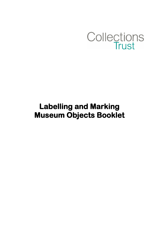

# **Labelling and Marking Museum Objects Booklet**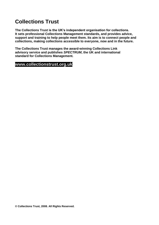## **Collections Trust**

**The Collections Trust is the UK's independent organisation for collections. It sets professional Collections Management standards, and provides advice, support and training to help people meet them. Its aim is to connect people and collections, making collections accessible to everyone, now and in the future.**

**The Collections Trust manages the award-winning Collections Link advisory service and publishes** *SPECTRUM***, the UK and international standard for Collections Management.**

## **www.collectionstrust.org.uk**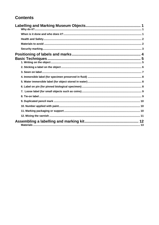## **Contents**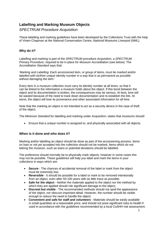## <span id="page-3-0"></span>**Labelling and Marking Museum Objects**

#### *SPECTRUM Procedure Acquisition*

These labelling and marking guidelines have been developed by the Collections Trust with the help of Vivien Chapman at the National Conservation Centre, National Museums Liverpool (NML).

#### <span id="page-3-1"></span>**Why do it?**

Labelling and marking is part of the *SPECTRUM* procedure *Acquisition*, a *SPECTRUM Primary Procedure*, required to be in place for *Museum Accreditation* (see below). The *Accreditation Standard* says that:

'*Marking and Labelling: Each accessioned item, or group of items, must be marked and/or labelled with its/their unique identity number in a way that is as permanent as possible without damaging the item.*'

Every item in a museum collection must carry its identity number at all times, so that it can be linked to the information a museum holds about the object. If this bond between the object and its documentation is broken, the consequences may be serious. At best, time will be wasted because of the need to track down documentation and re-establish the link. At worst, the object will lose its provenance and other associated information for all time.

Note that the marking an object is not intended to act as a security device in the case of theft of the object.

The *Minimum Standard* for labelling and marking under *Acquisition*, states that museums should:

Ensure that a unique number is assigned to, and physically associated with all objects.

#### <span id="page-3-2"></span>**When is it done and who does it?**

Marking and/or labelling an object should be done as part of the accessioning process. Items on loan or not yet accepted into the collection should not be marked. Items which do not belong the museum, such as loans or potential donations should be labelled.

The preference should normally be to physically mark objects: however in some cases this may not be possible. These guidelines will help you label and mark the items in your collections in ways which are:

- **Secure** The chances of accidental removal of the label or mark from the object must be extremely low;
- **Reversible** It should be possible for a label or mark to be removed intentionally from an object, even after 50-100 years with as little trace as possible;
- **Safe for the object** Neither the materials applied to the object nor the method by which they are applied should risk significant damage to the object;
- **Discreet but visible** The recommended methods should not spoil the appearance of the object, nor obscure important detail. However, the number should be visible enough to reduce the need to handle the object;
- **Convenient and safe for staff and volunteers** Materials should be easily available in small quantities at a reasonable price, and should not pose significant risks to health if used in accordance with the guidelines recommended by a local CoSHH risk assessment.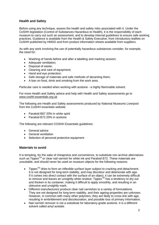#### <span id="page-4-0"></span>**Health and Safety**

Before using any technique, assess the health and safety risks associated with it. Under the CoSHH legislation (Control of Substances Hazardous to Health), it is the responsibility of each museum to carry out such an assessment, and to develop internal guidelines to ensure safe working practices. Guidance is available from the Health & Safety Executive, from introductory leaflets on CoSHH published by HMSO and from product information sheets available from suppliers.

As with any work involving the use of potentially hazardous substances consider, for example, the need for:

- Washing of hands before and after a labelling and marking session;
- Adequate ventilation;
- Disposal of waste;
- Cleaning and care of equipment;
- Hand and eye protection;
- Safe storage of materials and safe methods of decanting them;
- A ban on food, drink and smoking from the work area.

Particular care is needed when working with acetone - a highly flammable solvent.

For more Health and Safety advice and help with Health and Safety assessments go to [www.coshh-essentials.org.uk](http://www.coshh-essentials.org.uk/)

The following are Health and Safety assessments produced by National Museums Liverpool from the CoSHH essentials website:

- [Paraloid B67 20% in](http://www.collectionslink.org.uk/assets/userfiles/index.php?file=000621.pdf) white spirit
- [Paraloid B72 20% in acetone](http://www.collectionslink.org.uk/assets/userfiles/index.php?file=000622.pdf)

The following are relevant COSHH Essentials guidelines:

- **[General advice](http://www.collectionslink.org.uk/assets/userfiles/index.php?file=000623.pdf)**
- [General ventilation](http://www.collectionslink.org.uk/assets/userfiles/index.php?file=000624.pdf)
- [Selection of personal protective equipment](http://www.collectionslink.org.uk/assets/userfiles/index.php?file=000625.pdf)

#### <span id="page-4-1"></span>**Materials to avoid**

It is tempting, for the sake of cheapness and convenience, to substitute non archive alternatives such as Tippex<sup>™</sup> or clear nail varnish for white ink and Paraloid B72. These materials are unsuitable, and should never be used on museum objects for the following reasons:

- $\bullet$  Tippex<sup>TM</sup> dries to form an inflexible surface layer subject to cracking and detachment. It is not designed for long-term stability, and may discolour and deteriorate with age. If it comes into direct contact with the surface of an object, it can be extremely difficult to remove and leaves an unsightly white residue;  $T_{\text{N}}$  has a tendency to dry out and thicken in its container, making it difficult to apply smoothly, and resulting in an obtrusive and unsightly mark;
- Different manufacturers produce clear nail varnishes to a variety of formulations. They are not designed for long-term stability, and their ageing properties are unknown. However, in common with many other polymers, they are likely to cross-link with age, resulting in embrittlement and discolouration, and possible loss of primary information;
- Nail varnish remover is not a substitute for laboratory-grade acetone. It is a different solvent called amyl acetate.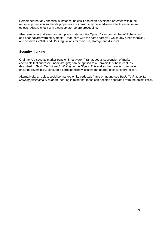Remember that any chemical substance, unless it has been developed or tested within the museum profession so that its properties are known, may have adverse effects on museum objects. Always check with a conservator before proceeding.

Also remember that even commonplace materials like Tippex<sup>TM</sup> can contain harmful chemicals, and bear hazard warning symbols. Treat them with the same care you would any other chemical, and observe CoSHH and H&S regulations for their use, storage and disposal.

#### <span id="page-5-0"></span>**Security marking**

Ordinary UV security marker pens or Smartwater™ (an aqueous suspension of marker chemicals that fluoresce under UV light) can be applied to a Paraloid B72 base coat, as described in *[Basic Technique 1: Writing on the Object](http://www.collectionslink.org.uk/assets/userfiles/index.php?file=000661.pdf)*. This makes them easier to remove, ensuring reversibility, although it correspondingly lessens the degree of security protection.

Alternatively, an object could be marked on its pedestal, frame or mount (see *[Basic Technique 11:](http://www.collectionslink.org.uk/manage_information/landm_guide/marksupport)  [Marking packaging or support](http://www.collectionslink.org.uk/manage_information/landm_guide/marksupport)*, bearing in mind that these can become separated from the object itself).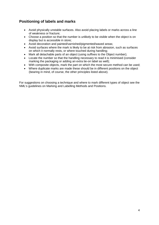## <span id="page-6-0"></span>**Positioning of labels and marks**

- Avoid physically unstable surfaces. Also avoid placing labels or marks across a line of weakness or fracture;
- Choose a position so that the number is unlikely to be visible when the object is on display but is accessible in store;
- Avoid decoration and painted/varnished/pigmented/waxed areas;
- Avoid surfaces where the mark is likely to be at risk from abrasion, such as surfaces on which it normally rests, or where touched during handling;
- Mark all detachable parts of an object (using suffixes to the Object number);
- Locate the number so that the handling necessary to read it is minimised (consider marking the packaging or adding an extra tie-on label as well);
- With composite objects, mark the part on which the most secure method can be used;
- Where duplicate marks are made these should be in different positions on the object (bearing in mind, of course, the other principles listed above).

For suggestions on choosing a technique and where to mark different types of object see the NML's guidelines on Marking and Labelling Methods and Positions.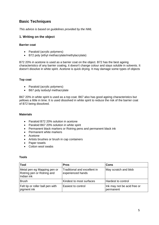## <span id="page-7-0"></span>**Basic Techniques**

<span id="page-7-1"></span>*This advice is based on guidelines provided by the NML*

#### **1. Writing on the object**

#### **Barrier coat**

- Paraloid (acrylic polymers)
- B72 poly (ethyl methacrylate/methylacrylate)

B72 20% in acetone is used as a barrier coat on the object. B72 has the best ageing characteristics of any barrier coating, it doesn't change colour and stays soluble in solvents. It doesn't dissolve in white spirit. Acetone is quick drying. It may damage some types of objects

#### **Top coat**

- Paraloid (acrylic polymers)
- B67 poly isobutyl methacrylate

B67 20% in white spirit is used as a top coat. B67 also has good ageing characteristics but yellows a little in time. It is used dissolved in white spirit to reduce the risk of the barrier coat of B72 being dissolved.

#### **Materials**

- Paraloid B72 20% solution in acetone
- Paraloid B67 20% solution in white spirit
- Permanent black markers or Rotring pens and permanent black ink
- Permanent white markers
- Acetone
- Artists brushes or brush in cap containers
- Paper towels
- Cotton wool swabs

#### **Tools**

| <b>Tool</b>                                                             | <b>Pros</b>                                       | Cons                                     |
|-------------------------------------------------------------------------|---------------------------------------------------|------------------------------------------|
| Metal pen eg Mapping pen or<br>Rotring pen or Rotring and<br>Indian ink | Traditional and excellent in<br>experienced hands | May scratch and blob                     |
| <b>Brush</b>                                                            | Kindest to most surfaces                          | Hardest to control                       |
| Felt tip or roller ball pen with<br>pigment ink                         | Easiest to control                                | Ink may not be acid free or<br>permanent |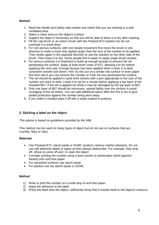#### **Method**

- 1. Read the Health and Safety data sheets and check that you are working in a well ventilated area.
- 2. Select a clean area on the object's surface.
- 3. Support the object if necessary so that you will be able to leave it to dry after marking.
- 4. Fill the cap brush or an artist's brush with the Paraloid B72 solution but do not overload it to avoid drips.
- 5. For non-porous surfaces: with one steady movement first move the brush in one direction to make a mark only slightly larger than the size of the number to be applied. Then stroke again in the opposite direction to use the solution on the other side of the brush. Then leave it to dry. Some people find it easier to apply single brush strokes.
- 6. For porous surfaces it is important to build up enough lacquer to prevent the ink penetrating the surface. Apply at least three coats of B72, allowing it to dry before applying the next coat. Enough lacquer has been applied when it dries to a fairly consistent smooth dull sheen. Hint: try this out on a similar trial surface or even paper first then see if you can remove the number or if the ink has penetrated the surface.
- 7. The ink should be applied in quite thick strokes with a pen appropriate to the size of the number you want to write. Leave it to set for a minute before applying a top layer of the Paraloid B67. If the ink is applied too thinly it may be damaged by the top layer of B67.
- 8. Only one layer of B67 should be necessary, spread lightly over the surface to avoid smudging of the ink below. You can add additional layers after the first is dry to give added protection against the number being worn away.
- 9. If you make a mistake wipe it off with a swab soaked in acetone.

#### <span id="page-8-0"></span>**2. Sticking a label on the object**

*This advice is based on guidelines provided by the NML*

This method can be used on many types of object but do not use on surfaces that are crumbly, flaky or hairy.

#### **Materials**

- Use Paraloid B72, starch paste or SCMC (sodium carboxy methyl cellulose). Do not use self adhesive labels or tapes as they always deteriorate. For example, they drop off, refuse to come off and / or stain the object
- Consider printing the number using a laser printer or photocopier (both pigment based) onto acid free paper
- For varnished surfaces use starch paste
- For plastics use dry starch paste or SCMC

#### **Method**

- 1) Write or print the number on a small strip of acid free paper.
- 2) Apply the adhesive to the label.
- 3) Press the label onto the object, sufficiently firmly that it moulds itself to the object's contours.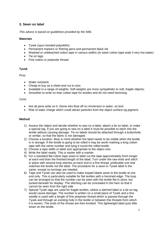#### <span id="page-9-0"></span>**3. Sewn on label**

*This advice is based on guidelines provided by the NML*

#### **Materials**

- Tyvek (spun bonded polyolefin)
- Permanent markers or Rotring pens and permanent black ink
- Washed or unbleached cotton tape in various widths (to wash cotton tape soak it very hot water)
- Tie on tags
- Fine cotton or polyester thread

#### **Tyvek**

Pros:

- Water resistant;
- Cheap to buy as a sheet and cut to size;
- Available in a range of weights. Soft weights are more sympathetic to soft, fragile objects;
- Smoother to write on than cotton tape for textiles and do not need hemming.

#### Cons:

- Not all pens write on it. Some inks float off on immersion in water, so test;
- Risk of static charge which could attract particles from the object surface eg pigment.

#### **Method**

- 1) Assess the object and decide whether to sew on a label, attach a tie on label, or make a special tag. If you are going to sew on a label it must be possible to stitch into the textile without causing damage. Tie on labels should be attached through a buttonhole, or similar, so that the fabric is not damaged.
- 2) Choose a location. Bear in mind whether the label needs to be visible when the textile is in storage. If the textile is going to be rolled it may be worth marking a long cotton tape with the same number and tying it round the rolled textile.
- 3) Choose a tape width or label size appropriate to the object size.
- 4) Write the label neatly. This is easier with a marker.
- 5) For a standard flat cotton tape sewn-in label cut the tape approximately 5mm longer at each end than the finished length of the label, Turn under the raw ends and stitch in place with several long stitches at each end in a fine thread, preferable one that matches the textile not the label. The procedure for a sewn-in Tyvek label is the same, except no turnings are needed.
- 6) Tape and Tyvek can also be used to make looped labels sewn to the textile at one end only. This is particularly suitable for flat textiles with a hemmed edge. The loop can be arranged so that the number can be seen with the textile flat in store, but tucked beneath for display. The stitching can be concealed in the hem so that it cannot be seen from the right side.
- 7) Special Tyvek tags are used for fragile textiles, where a stitched label or a tie-on tag would cause damage. The number is written on a small piece of Tyvek and a fine needle is used with a length of fine polyester thread which is passed through the Tyvek and through an existing hole in the textile or between the threads from which it is woven. The ends of the thread are then knotted. This lightweight label puts little strain on the textile.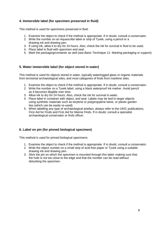#### <span id="page-10-0"></span>**4. Immersible label (for specimen preserved in fluid)**

This method is used for specimens preserved in fluid:

- 1. Examine the object to check if the method is appropriate. If in doubt, consult a conservator.
- 2. Write the number on an Aquascribe label or strip of Tyvek, using a pencil or a drawing ink and drawing pen.
- 3. If using ink, allow it to dry for 24 hours. Also, check the ink for survival in fluid to be used.
- 4. Place label in fluid with specimen and seal.
- 5. Mark the packaging/container as well (see *Basic [Technique 11: Marking packaging or support](http://www.collectionslink.org.uk/manage_information/landm_guide/marksupport)*).

#### <span id="page-10-1"></span>**5. Water immersible label (for object stored in water)**

This method is used for objects stored in water, typically waterlogged glass or organic materials from terrestrial archaeological sites, and most categories of finds from maritime sites.

- 1. Examine the object to check if the method is appropriate. If in doubt, consult a conservator;
- 2. Write the number on a Tyvek label, using a black waterproof ink marker. Avoid pencil as it becomes illegible over time.
- 3. Allow ink to dry for 24 hours. Also, check the ink for survival in water.
- 4. Place label in container with object, and seal. Labels may be tied to larger objects using synthetic materials such as terylene or polypropylene twine, or plastic garden ties (which can be easily re-used).
- 5. When labelling any type of archaeological artefact, always refer to the UKIC publications, First Aid for Finds and First Aid for Marine Finds. If in doubt, consult a specialist archaeological conservator or finds officer.

#### <span id="page-10-2"></span>**6. Label on pin (for pinned biological specimen)**

This method is used for pinned biological specimens:

- 1. Examine the object to check if the method is appropriate. If in doubt, consult a conservator.
- 2. Write the object number on a small strip of acid-free paper or Tyvek using a suitable drawing ink and drawing pen.
- 3. Stick the pin on which the specimen is mounted through this label, making sure that the hole is not too close to the edge and that the number can be read without disturbing the specimen.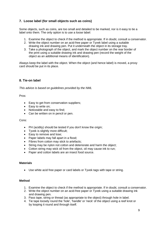#### <span id="page-11-0"></span>**7. Loose label (for small objects such as coins)**

Some objects, such as coins, are too small and detailed to be marked, nor is it easy to tie a label onto them. The only option is to use a loose label:

- 1. Examine the object to check if the method is appropriate. If in doubt, consult a conservator.
- 2. Write the object number on an acid-free paper or Tyvek label using a suitable drawing ink and drawing pen. Put it underneath the object in its storage tray.
- 3. Take a photograph of the object, and mark the object number on the rear border of the print using a suitable drawing ink and drawing pen (record the weight of the object as an additional means of identification).

Always keep the label with the object. When the object (and hence label) is moved, a proxy card should be put in its place.

#### <span id="page-11-1"></span>**8. Tie-on label**

*This advice is based on guidelines provided by the NML*

Pros:

- Easy to get from conservation suppliers;
- Easy to write on;
- Noticeable and easy to find;
- Can be written on in pencil or pen.

#### Cons:

- PH (acidity) should be tested if you don't know the origin:
- Tyvek is slightly more difficult;
- Easy to remove and lose;
- Paper labels may fall apart in a flood;
- Fibres from cotton may stick to artefacts;
- String may be nylon not cotton and deteriorate and harm the object;
- Cotton string may wick oil from the object, oil may cause ink to run;
- Paper and cotton labels are an insect food source.

#### **Materials**

Use white acid free paper or card labels or Tyvek tags with tape or string.

#### **Method**

- 1. Examine the object to check if the method is appropriate. If in doubt, consult a conservator.
- 2. Write the object number on an acid-free paper or Tyvek using a suitable drawing ink and drawing pen.
- 3. Pass tape, string or thread (as appropriate to the object) through hole in label.
- 4. Tie tape loosely round the 'hole', 'handle' or 'neck' of the object using a reef knot or by looping it round and through itself.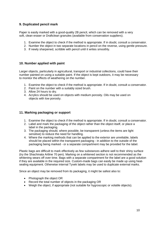#### <span id="page-12-0"></span>**9. Duplicated pencil mark**

Paper is easily marked with a good-quality 2B pencil, which can be removed with a very soft, clean eraser or Draftclean granules (available from conservation suppliers).

- 1. Examine the object to check if the method is appropriate. If in doubt, consult a conservator.
- 2. Number the object in two separate locations in pencil on the reverse, using gentle pressure.
- 3. If newly sharpened, scribble with pencil until it writes smoothly.

#### <span id="page-12-1"></span>**10. Number applied with paint**

Larger objects, particularly in agricultural, transport or industrial collections, could have their number painted on using a suitable paint. If the object is kept outdoors, it may be necessary to monitor the effects of weathering on the number.

- 1. Examine the object to check if the method is appropriate. If in doubt, consult a conservator.
- 2. Paint on the number with a suitably sized brush.
- 3. Allow 24 hours to dry.
- 4. Acrylics should be used on objects with medium porosity. Oils may be used on objects with low porosity.

#### <span id="page-12-2"></span>**11. Marking packaging or support**

- 1. Examine the object to check if the method is appropriate. If in doubt, consult a conservator.
- 2. Label and mark the packaging of the object rather than the object itself, or place a label in the packaging.
- 3. The packaging should, where possible, be transparent (unless the items are light sensitive) to reduce the need for handling.
- 4. Where the marking methods that can be applied to the exterior are unreliable, labels should be placed within the transparent packaging - in addition to the outside of the packaging being marked - or a separate compartment may be provided for the label.

Plastic bags are difficult to mark effectively as few substances adhere well to their shiny surface (try the Shachinata Artline 70 pen). Marking on a whitened section is not recommended as the whitening wears off over time. Bags with a separate compartment for the label are a good solution if they are available in the required size. Custom-made bags can easily be made up using heatsealing equipment. Otherwise internal Tyvek labels may be used to duplicate external marks.

Since an object may be removed from its packaging, it might be safest also to:

- Photograph the object OR
- Record the total number of objects in the packaging OR
- Weigh the object, if appropriate (not suitable for hygroscopic or volatile objects).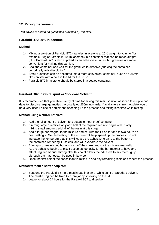#### <span id="page-13-0"></span>**12. Mixing the varnish**

*This advice is based on guidelines provided by the NML*

#### **Paraloid B72 20% in acetone**

#### **Method**

- 1) Mix up a solution of Paraloid B72 granules in acetone at 20% weight to volume (for example, 20g of Paraoid in 100ml acetone) in a container that can be made airtight. (N.B. Paraloid B72 is also supplied as an adhesive in tubes, but granules are more convenient for making this varnish.
- 2) Seal the container and wait for the granules to dissolve (shaking the container periodically aids dissolution).
- 3) Small quantities can be decanted into a more convenient container, such as a 35mm film canister with a hole in the lid for the brush.
- 4) Paraloid B72 in acetone should be stored in a sealed container.

#### **Paraloid B67 in white spirit or Stoddard Solvent**

It is recommended that you allow plenty of time for mixing this resin solution as it can take up to two days to dissolve large quantities thoroughly eg 250ml upwards. If available a stirrer hot plate would be a very useful piece of equipment, speeding up the process and taking less time while mixing.

#### **Method using a stirrer hotplate:**

- 1) Add the full amount of solvent to a sealable, heat proof container.
- 2) If mixing large quantities only add half of the required resin to begin with. If only mixing small amounts add all of the resin at this stage.
- 3) Add a large bar magnet to the mixture and stir with the lid on for one to two hours on heat setting 2. Gentle heating of the mixture will help speed up the process. Do not increase the temperature as this will cause the adhesive to bake to the bottom of the container, rendering it useless, and will evaporate the solvent.
- 4) After approximately two hours switch off the stirrer and stir the mixture manually. As the adhesive begins to mix it becomes too tacky for the bar magnet to have any effect, regular manual stirring after this point allows the adhesive to mix thoroughly, although bar magnet can be used in between.
- 5) Once the first half of the consolidant is mixed in add any remaining resin and repeat the process.

#### **Method without a stirrer hotplate:**

- 1) Suspend the Paraloid B67 in a muslin bag in a jar of white spirit or Stoddard solvent. The muslin bag can be fixed to a jam jar by screwing on the lid.
- 2) Leave for about 24 hours for the Paraloid B67 to dissolve.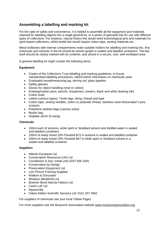## <span id="page-14-0"></span>**Assembling a labelling and marking kit**

For the sake of safety and convenience, it is helpful to assemble all the equipment and materials required for labelling objects into a single general kit, or a series of specialist kits for use with different types of collections. For instance, natural history kits would need entomological pins and materials for spirit-based collections, whilst textile kits would require cotton tape, sewing materials etc.

Metal toolboxes with internal compartments make suitable holders for labelling and marking kits. Any chemicals and solvents in the kit should be stored upright in sealed and labelled containers. The box itself should be clearly marked with its contents, and stored in a secure, cool, well-ventilated area.

A general labelling kit might contain the following items:

#### **Equipment**

- Copies of the Collections Trust labelling and marking guidelines, in-house standardised labelling procedures, H&S/CoSHH information on chemicals used
- Graduated vessel/measuring jug, stirring rod, glass pipettes
- Safety glasses
- Gloves for object handling (vinyl or cotton)
- Drawing/marker pens, pencils, sharpeners, erasers, black and white drawing inks
- Cotton buds
- Labels (various types), Tyvek tags, string, thread and tape
- Cotton tape, sewing needles, cotton or polyester thread, stainless steel dressmaker's pins, scissors
- Polythene artefact bags (various sizes)
- Muslin bag
- Hotplate stirrer (if using)

#### **Chemicals**

- 100ml each of acetone, white spirit or Stoddard solvent and distilled water in sealed and labelled containers
- 100ml of ready mixed 20% Paraloid B72 in acetone in sealed and labelled container
- 100ml of ready mixed 20% Paraloid B67 in white spirit or Stoddard solvent in a sealed and labelled container

#### **Suppliers**

- [Atlantis European Ltd](http://www.atlantisart.co.uk/)
- [Conservation Resources \(UK\) Ltd](http://www.conservation-resources.co.uk/)
- Cornelisson & Son: (retail unit) 0207 636 1045
- [Conservation by Design](http://www.conservation-by-design.co.uk/)
- [Preservation Equipment Ltd](http://www.preservationequipment.com/)
- [Lion Picture Framing Supplies](http://www.lionpic.co.uk/)
- [Watkins & Doncaster](http://www.watdon.com/)
- [Whaleys \(Bradford\) Ltd](http://www.whaleys-bradford.ltd.uk/)
- [Bowmer Bond Narrow Fabrics Ltd](http://www.bowmerbond.co.uk/)
- [Cash's UK Ltd](http://www.jjcash.co.uk/)
- [Aquascribe](http://www.aquascribe.co.uk/)
- Oakes Eddon Scientific Services Ltd: 0151 207 3062

For suppliers of chemicals see your local Yellow Pages.

For more suppliers see the Museums Association website [www.museumsassociation.org](http://www.museumsassociation.org/)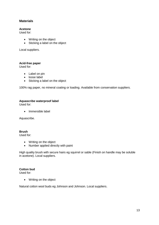#### <span id="page-15-0"></span>**Materials**

#### **Acetone**

Used for:

- Writing on the object
- Sticking a label on the object

Local suppliers.

#### **Acid-free paper**

Used for:

- Label on pin
- loose label
- Sticking a label on the object

100% rag paper, no mineral coating or loading. Available from conservation suppliers.

#### **Aquascribe waterproof label**

Used for:

Immersible label

Aquascribe.

#### **Brush**

Used for:

- Writing on the object
- Number applied directly with paint

High quality brush with secure hairs eg squirrel or sable (Finish on handle may be soluble in acetone). Local suppliers.

#### **Cotton bud**

Used for:

Writing on the object

Natural cotton wool buds eg Johnson and Johnson. Local suppliers.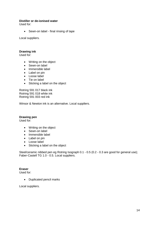#### **Distiller or de-ionised water**

Used for:

Sewn-on label - final rinsing of tape

Local suppliers.

#### **Drawing ink**

Used for:

- Writing on the object
- Sewn-on label
- Immersible label
- Label on pin
- Loose label
- Tie on label
- Sticking a label on the object

Rotring 591 017 black ink Rotring 591 018 white ink Rotring 591 003 red ink

Winsor & Newton ink is an alternative. Local suppliers.

#### **Drawing pen**

Used for:

- Writing on the object
- Sewn-on label
- Immersible label
- Label on pin
- Loose label
- Sticking a label on the object

Steel/ceramic nibbed pen eg Rotring Isograph 0.1 - 0.5 (0.2 - 0.3 are good for general use); Faber-Castell TG 1.0 - 0.5. Local suppliers.

#### **Eraser**

Used for:

• Duplicated pencil marks

Local suppliers.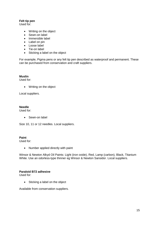#### **Felt tip pen**

Used for:

- Writing on the object
- Sewn-on label
- Immersible label
- Label on pin
- Loose label
- Tie-on label
- Sticking a label on the object

For example, Pigma pens or any felt tip pen described as waterproof and permanent. These can be purchased from conservation and craft suppliers.

#### **Muslin**

Used for:

• Writing on the object

Local suppliers.

#### **Needle**

Used for:

• Sewn-on label

Size 10, 11 or 12 needles. Local suppliers.

#### **Paint**

Used for:

• Number applied directly with paint

Winsor & Newton Alkyd Oil Paints: Light (iron oxide), Red, Lamp (carbon), Black, Titanium White. Use an odorless-type thinner eg Winsor & Newton Sansidor. Local suppliers.

#### **Paraloid B72 adhesive**

Used for:

• Sticking a label on the object

Available from conservation suppliers.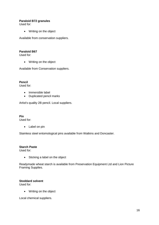#### **Paraloid B72 granules**

Used for:

• Writing on the object

Available from conservation suppliers.

#### **Paraloid B67**

Used for:

Writing on the object

Available from Conservation suppliers.

**Pencil**

Used for:

- Immersible label
- Duplicated pencil marks

Artist's quality 2B pencil. Local suppliers.

**Pin** Used for:

- - Label on pin

Stainless steel entomological pins available from Watkins and Doncaster.

#### **Starch Paste**

Used for:

• Sticking a label on the object

Readymade wheat starch is available from Preservation Equipment Ltd and Lion Picture Framing Supplies.

#### **Stoddard solvent**

Used for:

• Writing on the object

Local chemical suppliers.